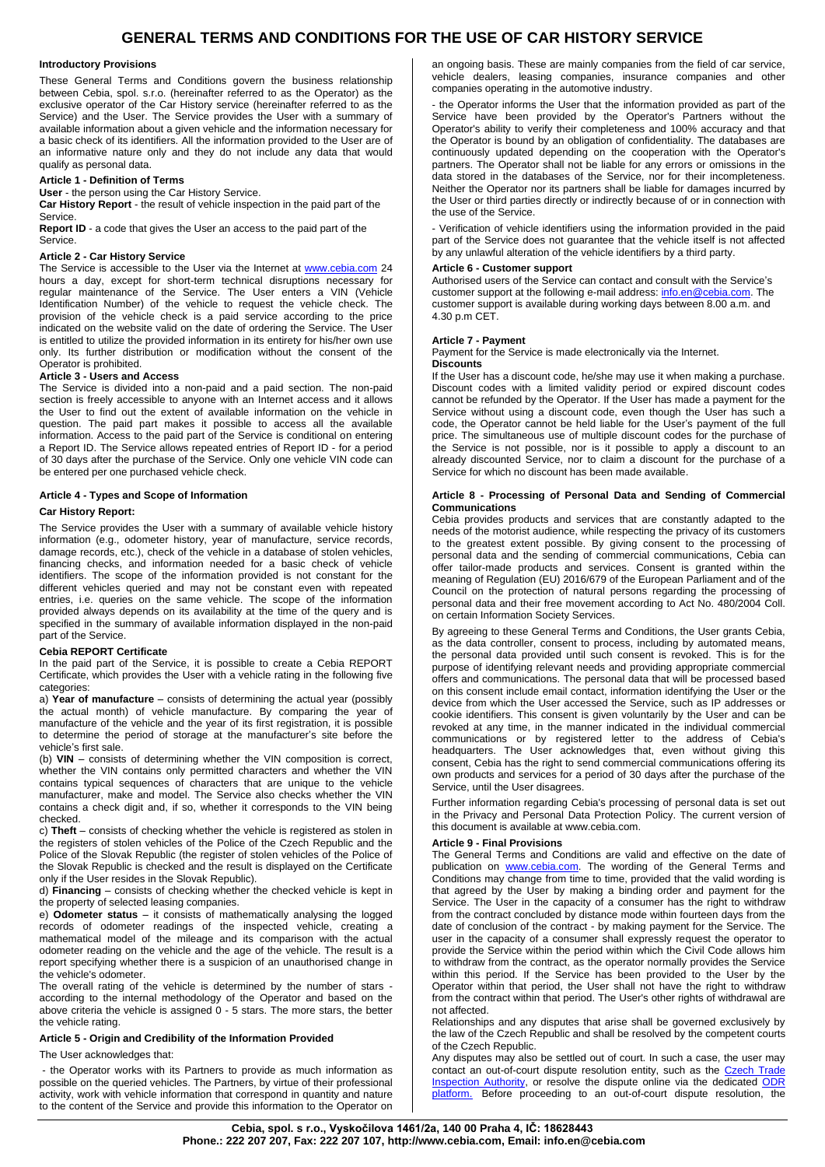# **GENERAL TERMS AND CONDITIONS FOR THE USE OF CAR HISTORY SERVICE**

#### **Introductory Provisions**

These General Terms and Conditions govern the business relationship between Cebia, spol. s.r.o. (hereinafter referred to as the Operator) as the exclusive operator of the Car History service (hereinafter referred to as the Service) and the User. The Service provides the User with a summary of available information about a given vehicle and the information necessary for a basic check of its identifiers. All the information provided to the User are of an informative nature only and they do not include any data that would qualify as personal data.

## **Article 1 - Definition of Terms**

**User** - the person using the Car History Service.

**Car History Report** - the result of vehicle inspection in the paid part of the **Service** 

**Report ID** - a code that gives the User an access to the paid part of the Service.

## **Article 2 - Car History Service**

The Service is accessible to the User via the Internet at [www.cebia.com](http://www.cebia.com/) 24 hours a day, except for short-term technical disruptions necessary for regular maintenance of the Service. The User enters a VIN (Vehicle Identification Number) of the vehicle to request the vehicle check. The provision of the vehicle check is a paid service according to the price indicated on the website valid on the date of ordering the Service. The User is entitled to utilize the provided information in its entirety for his/her own use only. Its further distribution or modification without the consent of the Operator is prohibited.

## **Article 3 - Users and Access**

The Service is divided into a non-paid and a paid section. The non-paid section is freely accessible to anyone with an Internet access and it allows the User to find out the extent of available information on the vehicle in question. The paid part makes it possible to access all the available information. Access to the paid part of the Service is conditional on entering a Report ID. The Service allows repeated entries of Report ID - for a period of 30 days after the purchase of the Service. Only one vehicle VIN code can be entered per one purchased vehicle check.

## **Article 4 - Types and Scope of Information**

## **Car History Report:**

The Service provides the User with a summary of available vehicle history information (e.g., odometer history, year of manufacture, service records, damage records, etc.), check of the vehicle in a database of stolen vehicles, financing checks, and information needed for a basic check of vehicle identifiers. The scope of the information provided is not constant for the different vehicles queried and may not be constant even with repeated entries, i.e. queries on the same vehicle. The scope of the information provided always depends on its availability at the time of the query and is specified in the summary of available information displayed in the non-paid part of the Service.

### **Cebia REPORT Certificate**

In the paid part of the Service, it is possible to create a Cebia REPORT Certificate, which provides the User with a vehicle rating in the following five categories:

a) **Year of manufacture** – consists of determining the actual year (possibly the actual month) of vehicle manufacture. By comparing the year of manufacture of the vehicle and the year of its first registration, it is possible to determine the period of storage at the manufacturer's site before the vehicle's first sale.

(b) **VIN** – consists of determining whether the VIN composition is correct, whether the VIN contains only permitted characters and whether the VIN contains typical sequences of characters that are unique to the vehicle manufacturer, make and model. The Service also checks whether the VIN contains a check digit and, if so, whether it corresponds to the VIN being checked.

c) **Theft** – consists of checking whether the vehicle is registered as stolen in the registers of stolen vehicles of the Police of the Czech Republic and the Police of the Slovak Republic (the register of stolen vehicles of the Police of the Slovak Republic is checked and the result is displayed on the Certificate only if the User resides in the Slovak Republic).

d) **Financing** – consists of checking whether the checked vehicle is kept in the property of selected leasing companies.

e) **Odometer status** – it consists of mathematically analysing the logged records of odometer readings of the inspected vehicle, creating a mathematical model of the mileage and its comparison with the actual odometer reading on the vehicle and the age of the vehicle. The result is a report specifying whether there is a suspicion of an unauthorised change in the vehicle's odometer.

The overall rating of the vehicle is determined by the number of stars according to the internal methodology of the Operator and based on the above criteria the vehicle is assigned 0 - 5 stars. The more stars, the better the vehicle rating.

## **Article 5 - Origin and Credibility of the Information Provided**

The User acknowledges that:

- the Operator works with its Partners to provide as much information as possible on the queried vehicles. The Partners, by virtue of their professional activity, work with vehicle information that correspond in quantity and nature to the content of the Service and provide this information to the Operator on an ongoing basis. These are mainly companies from the field of car service, vehicle dealers, leasing companies, insurance companies and other companies operating in the automotive industry.

- the Operator informs the User that the information provided as part of the Service have been provided by the Operator's Partners without the Operator's ability to verify their completeness and 100% accuracy and that the Operator is bound by an obligation of confidentiality. The databases are continuously updated depending on the cooperation with the Operator's partners. The Operator shall not be liable for any errors or omissions in the data stored in the databases of the Service, nor for their incompleteness. Neither the Operator nor its partners shall be liable for damages incurred by the User or third parties directly or indirectly because of or in connection with the use of the Service.

- Verification of vehicle identifiers using the information provided in the paid part of the Service does not guarantee that the vehicle itself is not affected by any unlawful alteration of the vehicle identifiers by a third party.

### **Article 6 - Customer support**

Authorised users of the Service can contact and consult with the Service's customer support at the following e-mail address[: info.en@cebia.com.](mailto:info.en@cebia.com) The customer support is available during working days between 8.00 a.m. and  $4.30 \text{ p} \text{ m}$  CFT.

## **Article 7 - Payment**

Payment for the Service is made electronically via the Internet.

## **Discounts**

If the User has a discount code, he/she may use it when making a purchase. Discount codes with a limited validity period or expired discount codes cannot be refunded by the Operator. If the User has made a payment for the Service without using a discount code, even though the User has such a code, the Operator cannot be held liable for the User's payment of the full price. The simultaneous use of multiple discount codes for the purchase of the Service is not possible, nor is it possible to apply a discount to an already discounted Service, nor to claim a discount for the purchase of a Service for which no discount has been made available.

## **Article 8 - Processing of Personal Data and Sending of Commercial Communications**

Cebia provides products and services that are constantly adapted to the needs of the motorist audience, while respecting the privacy of its customers to the greatest extent possible. By giving consent to the processing of personal data and the sending of commercial communications, Cebia can offer tailor-made products and services. Consent is granted within the meaning of Regulation (EU) 2016/679 of the European Parliament and of the Council on the protection of natural persons regarding the processing of personal data and their free movement according to Act No. 480/2004 Coll. on certain Information Society Services.

By agreeing to these General Terms and Conditions, the User grants Cebia, as the data controller, consent to process, including by automated means, the personal data provided until such consent is revoked. This is for the purpose of identifying relevant needs and providing appropriate commercial offers and communications. The personal data that will be processed based on this consent include email contact, information identifying the User or the device from which the User accessed the Service, such as IP addresses or cookie identifiers. This consent is given voluntarily by the User and can be revoked at any time, in the manner indicated in the individual commercial communications or by registered letter to the address of Cebia's headquarters. The User acknowledges that, even without giving this consent, Cebia has the right to send commercial communications offering its own products and services for a period of 30 days after the purchase of the Service, until the User disagrees.

Further information regarding Cebia's processing of personal data is set out in the Privacy and Personal Data Protection Policy. The current version of this document is available at www.cebia.com.

## **Article 9 - Final Provisions**

The General Terms and Conditions are valid and effective on the date of publication on **www.cebia.com**. The wording of the General Terms and Conditions may change from time to time, provided that the valid wording is that agreed by the User by making a binding order and payment for the Service. The User in the capacity of a consumer has the right to withdraw from the contract concluded by distance mode within fourteen days from the date of conclusion of the contract - by making payment for the Service. The user in the capacity of a consumer shall expressly request the operator to provide the Service within the period within which the Civil Code allows him to withdraw from the contract, as the operator normally provides the Service within this period. If the Service has been provided to the User by the Operator within that period, the User shall not have the right to withdraw from the contract within that period. The User's other rights of withdrawal are not affected.

Relationships and any disputes that arise shall be governed exclusively by the law of the Czech Republic and shall be resolved by the competent courts of the Czech Republic.

Any disputes may also be settled out of court. In such a case, the user may contact an out-of-court dispute resolution entity, such as the Czech Trade [Inspection Authority,](https://www.coi.cz/) or resolve the dispute online via the dedicated ODR [platform.](https://ec.europa.eu/consumers/odr/main/index.cfm?event=main.home.chooseLanguage) Before proceeding to an out-of-court dispute resolution, the